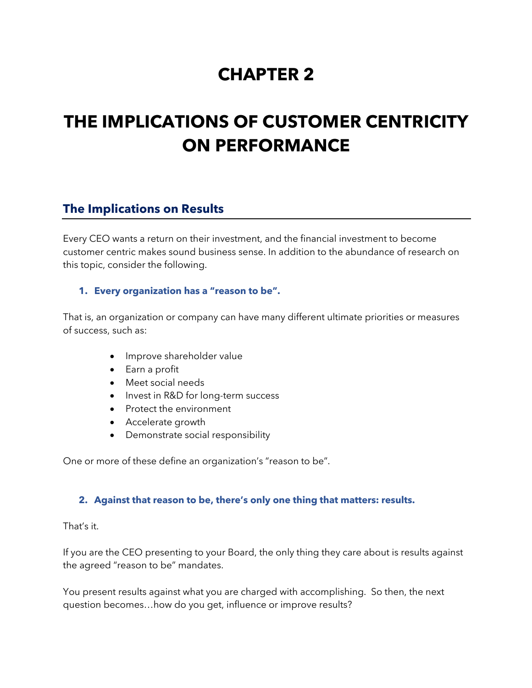# **CHAPTER 2**

# **THE IMPLICATIONS OF CUSTOMER CENTRICITY ON PERFORMANCE**

# **The Implications on Results**

Every CEO wants a return on their investment, and the financial investment to become customer centric makes sound business sense. In addition to the abundance of research on this topic, consider the following.

#### **1. Every organization has a "reason to be".**

That is, an organization or company can have many different ultimate priorities or measures of success, such as:

- Improve shareholder value
- Earn a profit
- Meet social needs
- Invest in R&D for long-term success
- Protect the environment
- Accelerate growth
- Demonstrate social responsibility

One or more of these define an organization's "reason to be".

#### **2. Against that reason to be, there's only one thing that matters: results.**

#### That's it.

If you are the CEO presenting to your Board, the only thing they care about is results against the agreed "reason to be" mandates.

You present results against what you are charged with accomplishing. So then, the next question becomes…how do you get, influence or improve results?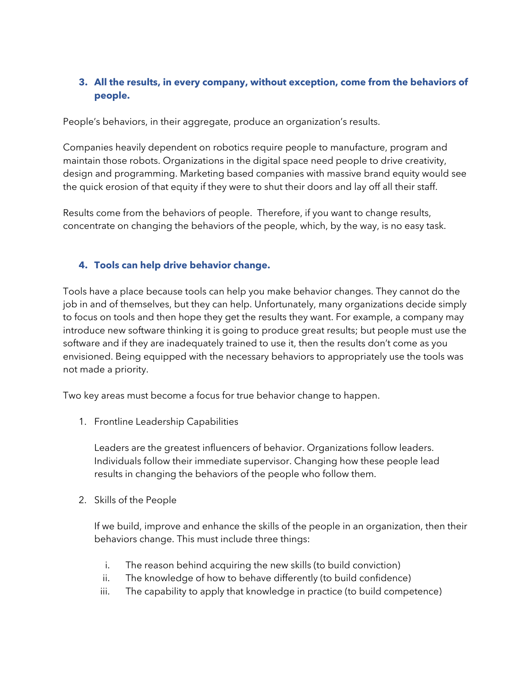## **3. All the results, in every company, without exception, come from the behaviors of people.**

People's behaviors, in their aggregate, produce an organization's results.

Companies heavily dependent on robotics require people to manufacture, program and maintain those robots. Organizations in the digital space need people to drive creativity, design and programming. Marketing based companies with massive brand equity would see the quick erosion of that equity if they were to shut their doors and lay off all their staff.

Results come from the behaviors of people. Therefore, if you want to change results, concentrate on changing the behaviors of the people, which, by the way, is no easy task.

#### **4. Tools can help drive behavior change.**

Tools have a place because tools can help you make behavior changes. They cannot do the job in and of themselves, but they can help. Unfortunately, many organizations decide simply to focus on tools and then hope they get the results they want. For example, a company may introduce new software thinking it is going to produce great results; but people must use the software and if they are inadequately trained to use it, then the results don't come as you envisioned. Being equipped with the necessary behaviors to appropriately use the tools was not made a priority.

Two key areas must become a focus for true behavior change to happen.

1. Frontline Leadership Capabilities

Leaders are the greatest influencers of behavior. Organizations follow leaders. Individuals follow their immediate supervisor. Changing how these people lead results in changing the behaviors of the people who follow them.

2. Skills of the People

If we build, improve and enhance the skills of the people in an organization, then their behaviors change. This must include three things:

- i. The reason behind acquiring the new skills (to build conviction)
- ii. The knowledge of how to behave differently (to build confidence)
- iii. The capability to apply that knowledge in practice (to build competence)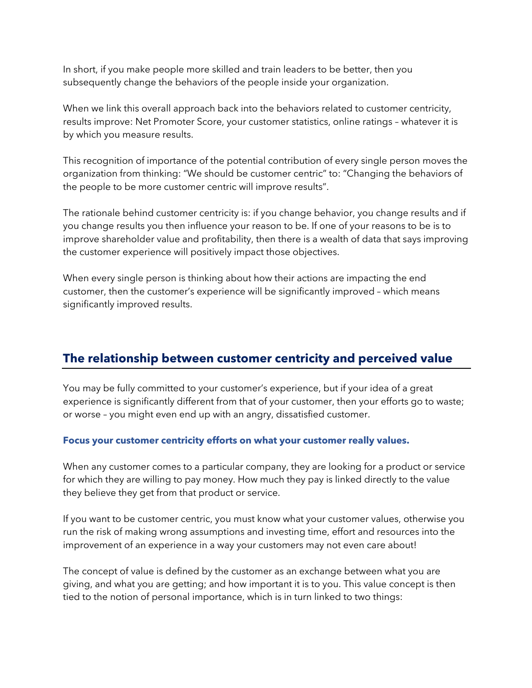In short, if you make people more skilled and train leaders to be better, then you subsequently change the behaviors of the people inside your organization.

When we link this overall approach back into the behaviors related to customer centricity, results improve: Net Promoter Score, your customer statistics, online ratings – whatever it is by which you measure results.

This recognition of importance of the potential contribution of every single person moves the organization from thinking: "We should be customer centric" to: "Changing the behaviors of the people to be more customer centric will improve results".

The rationale behind customer centricity is: if you change behavior, you change results and if you change results you then influence your reason to be. If one of your reasons to be is to improve shareholder value and profitability, then there is a wealth of data that says improving the customer experience will positively impact those objectives.

When every single person is thinking about how their actions are impacting the end customer, then the customer's experience will be significantly improved – which means significantly improved results.

# **The relationship between customer centricity and perceived value**

You may be fully committed to your customer's experience, but if your idea of a great experience is significantly different from that of your customer, then your efforts go to waste; or worse – you might even end up with an angry, dissatisfied customer.

## **Focus your customer centricity efforts on what your customer really values.**

When any customer comes to a particular company, they are looking for a product or service for which they are willing to pay money. How much they pay is linked directly to the value they believe they get from that product or service.

If you want to be customer centric, you must know what your customer values, otherwise you run the risk of making wrong assumptions and investing time, effort and resources into the improvement of an experience in a way your customers may not even care about!

The concept of value is defined by the customer as an exchange between what you are giving, and what you are getting; and how important it is to you. This value concept is then tied to the notion of personal importance, which is in turn linked to two things: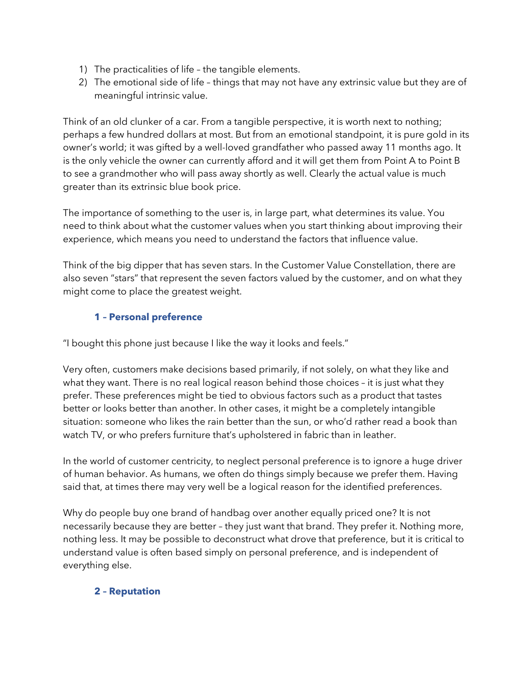- 1) The practicalities of life the tangible elements.
- 2) The emotional side of life things that may not have any extrinsic value but they are of meaningful intrinsic value.

Think of an old clunker of a car. From a tangible perspective, it is worth next to nothing; perhaps a few hundred dollars at most. But from an emotional standpoint, it is pure gold in its owner's world; it was gifted by a well-loved grandfather who passed away 11 months ago. It is the only vehicle the owner can currently afford and it will get them from Point A to Point B to see a grandmother who will pass away shortly as well. Clearly the actual value is much greater than its extrinsic blue book price.

The importance of something to the user is, in large part, what determines its value. You need to think about what the customer values when you start thinking about improving their experience, which means you need to understand the factors that influence value.

Think of the big dipper that has seven stars. In the Customer Value Constellation, there are also seven "stars" that represent the seven factors valued by the customer, and on what they might come to place the greatest weight.

# **1 – Personal preference**

"I bought this phone just because I like the way it looks and feels."

Very often, customers make decisions based primarily, if not solely, on what they like and what they want. There is no real logical reason behind those choices – it is just what they prefer. These preferences might be tied to obvious factors such as a product that tastes better or looks better than another. In other cases, it might be a completely intangible situation: someone who likes the rain better than the sun, or who'd rather read a book than watch TV, or who prefers furniture that's upholstered in fabric than in leather.

In the world of customer centricity, to neglect personal preference is to ignore a huge driver of human behavior. As humans, we often do things simply because we prefer them. Having said that, at times there may very well be a logical reason for the identified preferences.

Why do people buy one brand of handbag over another equally priced one? It is not necessarily because they are better – they just want that brand. They prefer it. Nothing more, nothing less. It may be possible to deconstruct what drove that preference, but it is critical to understand value is often based simply on personal preference, and is independent of everything else.

## **2 – Reputation**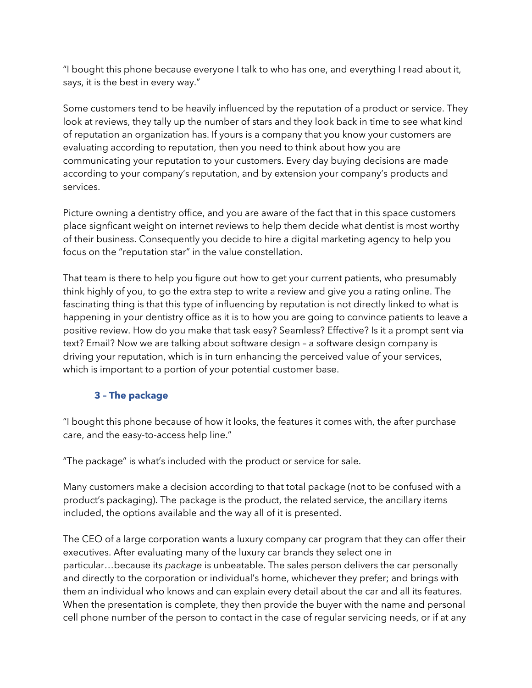"I bought this phone because everyone I talk to who has one, and everything I read about it, says, it is the best in every way."

Some customers tend to be heavily influenced by the reputation of a product or service. They look at reviews, they tally up the number of stars and they look back in time to see what kind of reputation an organization has. If yours is a company that you know your customers are evaluating according to reputation, then you need to think about how you are communicating your reputation to your customers. Every day buying decisions are made according to your company's reputation, and by extension your company's products and services.

Picture owning a dentistry office, and you are aware of the fact that in this space customers place signficant weight on internet reviews to help them decide what dentist is most worthy of their business. Consequently you decide to hire a digital marketing agency to help you focus on the "reputation star" in the value constellation.

That team is there to help you figure out how to get your current patients, who presumably think highly of you, to go the extra step to write a review and give you a rating online. The fascinating thing is that this type of influencing by reputation is not directly linked to what is happening in your dentistry office as it is to how you are going to convince patients to leave a positive review. How do you make that task easy? Seamless? Effective? Is it a prompt sent via text? Email? Now we are talking about software design – a software design company is driving your reputation, which is in turn enhancing the perceived value of your services, which is important to a portion of your potential customer base.

## **3 – The package**

"I bought this phone because of how it looks, the features it comes with, the after purchase care, and the easy-to-access help line."

"The package" is what's included with the product or service for sale.

Many customers make a decision according to that total package (not to be confused with a product's packaging). The package is the product, the related service, the ancillary items included, the options available and the way all of it is presented.

The CEO of a large corporation wants a luxury company car program that they can offer their executives. After evaluating many of the luxury car brands they select one in particular…because its *package* is unbeatable. The sales person delivers the car personally and directly to the corporation or individual's home, whichever they prefer; and brings with them an individual who knows and can explain every detail about the car and all its features. When the presentation is complete, they then provide the buyer with the name and personal cell phone number of the person to contact in the case of regular servicing needs, or if at any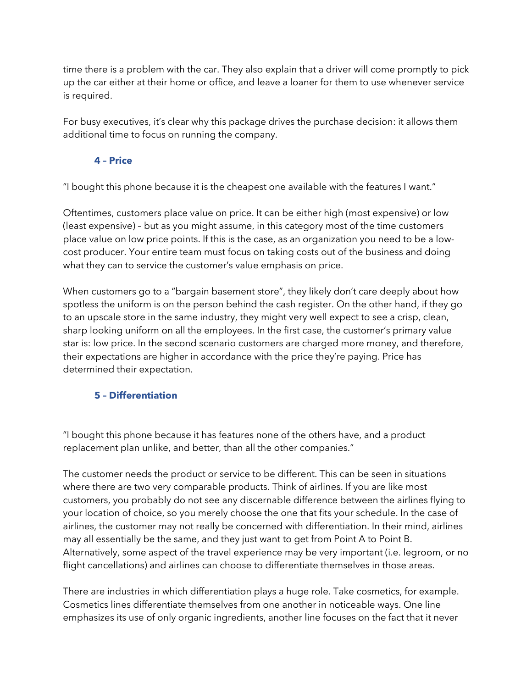time there is a problem with the car. They also explain that a driver will come promptly to pick up the car either at their home or office, and leave a loaner for them to use whenever service is required.

For busy executives, it's clear why this package drives the purchase decision: it allows them additional time to focus on running the company.

#### **4 – Price**

"I bought this phone because it is the cheapest one available with the features I want."

Oftentimes, customers place value on price. It can be either high (most expensive) or low (least expensive) – but as you might assume, in this category most of the time customers place value on low price points. If this is the case, as an organization you need to be a lowcost producer. Your entire team must focus on taking costs out of the business and doing what they can to service the customer's value emphasis on price.

When customers go to a "bargain basement store", they likely don't care deeply about how spotless the uniform is on the person behind the cash register. On the other hand, if they go to an upscale store in the same industry, they might very well expect to see a crisp, clean, sharp looking uniform on all the employees. In the first case, the customer's primary value star is: low price. In the second scenario customers are charged more money, and therefore, their expectations are higher in accordance with the price they're paying. Price has determined their expectation.

#### **5 – Differentiation**

"I bought this phone because it has features none of the others have, and a product replacement plan unlike, and better, than all the other companies."

The customer needs the product or service to be different. This can be seen in situations where there are two very comparable products. Think of airlines. If you are like most customers, you probably do not see any discernable difference between the airlines flying to your location of choice, so you merely choose the one that fits your schedule. In the case of airlines, the customer may not really be concerned with differentiation. In their mind, airlines may all essentially be the same, and they just want to get from Point A to Point B. Alternatively, some aspect of the travel experience may be very important (i.e. legroom, or no flight cancellations) and airlines can choose to differentiate themselves in those areas.

There are industries in which differentiation plays a huge role. Take cosmetics, for example. Cosmetics lines differentiate themselves from one another in noticeable ways. One line emphasizes its use of only organic ingredients, another line focuses on the fact that it never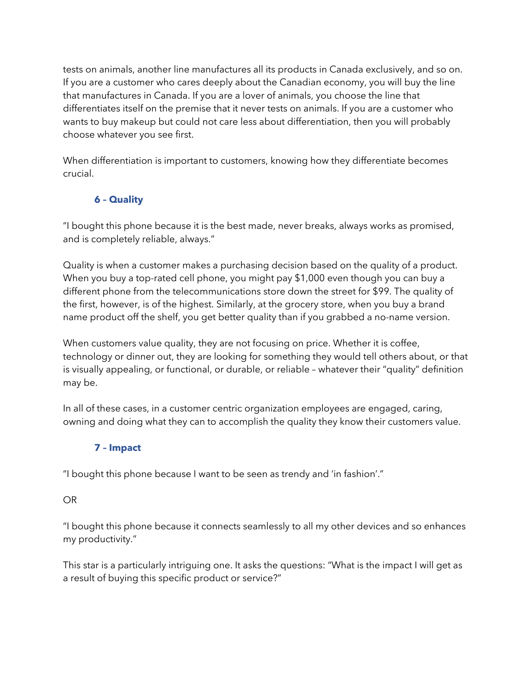tests on animals, another line manufactures all its products in Canada exclusively, and so on. If you are a customer who cares deeply about the Canadian economy, you will buy the line that manufactures in Canada. If you are a lover of animals, you choose the line that differentiates itself on the premise that it never tests on animals. If you are a customer who wants to buy makeup but could not care less about differentiation, then you will probably choose whatever you see first.

When differentiation is important to customers, knowing how they differentiate becomes crucial.

# **6 – Quality**

"I bought this phone because it is the best made, never breaks, always works as promised, and is completely reliable, always."

Quality is when a customer makes a purchasing decision based on the quality of a product. When you buy a top-rated cell phone, you might pay \$1,000 even though you can buy a different phone from the telecommunications store down the street for \$99. The quality of the first, however, is of the highest. Similarly, at the grocery store, when you buy a brand name product off the shelf, you get better quality than if you grabbed a no-name version.

When customers value quality, they are not focusing on price. Whether it is coffee, technology or dinner out, they are looking for something they would tell others about, or that is visually appealing, or functional, or durable, or reliable – whatever their "quality" definition may be.

In all of these cases, in a customer centric organization employees are engaged, caring, owning and doing what they can to accomplish the quality they know their customers value.

# **7 – Impact**

"I bought this phone because I want to be seen as trendy and 'in fashion'."

## OR

"I bought this phone because it connects seamlessly to all my other devices and so enhances my productivity."

This star is a particularly intriguing one. It asks the questions: "What is the impact I will get as a result of buying this specific product or service?"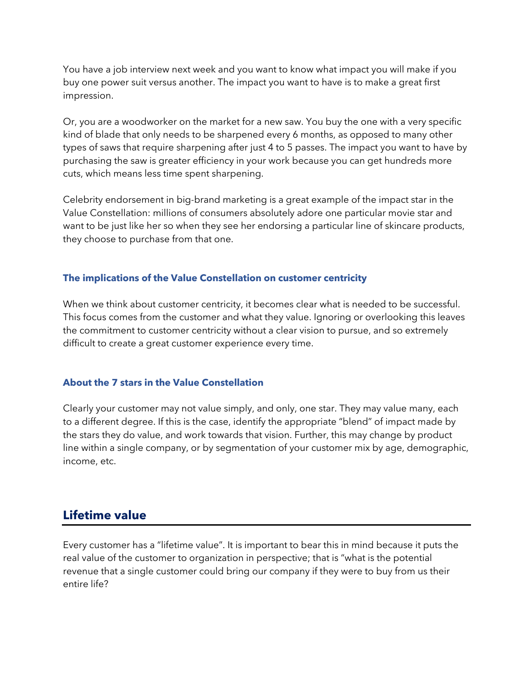You have a job interview next week and you want to know what impact you will make if you buy one power suit versus another. The impact you want to have is to make a great first impression.

Or, you are a woodworker on the market for a new saw. You buy the one with a very specific kind of blade that only needs to be sharpened every 6 months, as opposed to many other types of saws that require sharpening after just 4 to 5 passes. The impact you want to have by purchasing the saw is greater efficiency in your work because you can get hundreds more cuts, which means less time spent sharpening.

Celebrity endorsement in big-brand marketing is a great example of the impact star in the Value Constellation: millions of consumers absolutely adore one particular movie star and want to be just like her so when they see her endorsing a particular line of skincare products, they choose to purchase from that one.

#### **The implications of the Value Constellation on customer centricity**

When we think about customer centricity, it becomes clear what is needed to be successful. This focus comes from the customer and what they value. Ignoring or overlooking this leaves the commitment to customer centricity without a clear vision to pursue, and so extremely difficult to create a great customer experience every time.

#### **About the 7 stars in the Value Constellation**

Clearly your customer may not value simply, and only, one star. They may value many, each to a different degree. If this is the case, identify the appropriate "blend" of impact made by the stars they do value, and work towards that vision. Further, this may change by product line within a single company, or by segmentation of your customer mix by age, demographic, income, etc.

# **Lifetime value**

Every customer has a "lifetime value". It is important to bear this in mind because it puts the real value of the customer to organization in perspective; that is "what is the potential revenue that a single customer could bring our company if they were to buy from us their entire life?